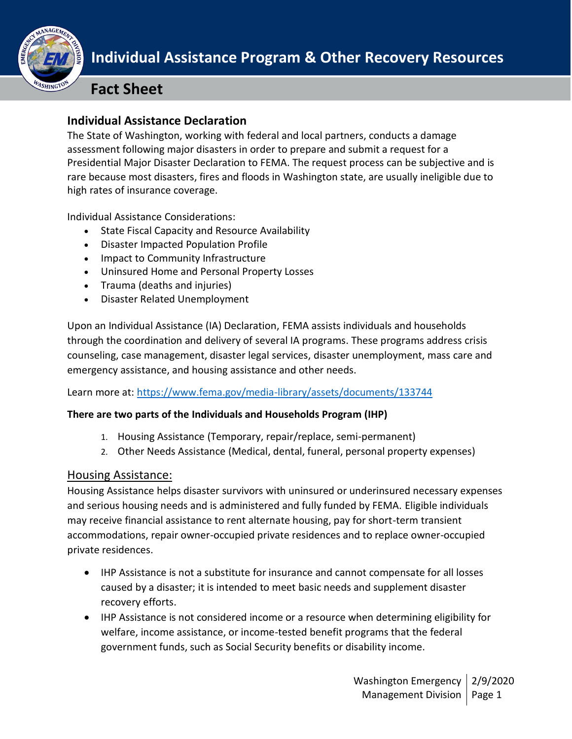

# **Fact Sheet**

## I **Individual Assistance Declaration**

The State of Washington, working with federal and local partners, conducts a damage assessment following major disasters in order to prepare and submit a request for a Presidential Major Disaster Declaration to FEMA. The request process can be subjective and is rare because most disasters, fires and floods in Washington state, are usually ineligible due to high rates of insurance coverage.

Individual Assistance Considerations:

- State Fiscal Capacity and Resource Availability
- Disaster Impacted Population Profile
- Impact to Community Infrastructure
- Uninsured Home and Personal Property Losses
- Trauma (deaths and injuries)
- Disaster Related Unemployment

Upon an Individual Assistance (IA) Declaration, FEMA assists individuals and households through the coordination and delivery of several IA programs. These programs address crisis counseling, case management, disaster legal services, disaster unemployment, mass care and emergency assistance, and housing assistance and other needs.

Learn more at:<https://www.fema.gov/media-library/assets/documents/133744>

#### **There are two parts of the Individuals and Households Program (IHP)**

- 1. Housing Assistance (Temporary, repair/replace, semi-permanent)
- 2. Other Needs Assistance (Medical, dental, funeral, personal property expenses)

### Housing Assistance:

Housing Assistance helps disaster survivors with uninsured or underinsured necessary expenses and serious housing needs and is administered and fully funded by FEMA. Eligible individuals may receive financial assistance to rent alternate housing, pay for short-term transient accommodations, repair owner-occupied private residences and to replace owner-occupied private residences.

- IHP Assistance is not a substitute for insurance and cannot compensate for all losses caused by a disaster; it is intended to meet basic needs and supplement disaster recovery efforts.
- IHP Assistance is not considered income or a resource when determining eligibility for welfare, income assistance, or income-tested benefit programs that the federal government funds, such as Social Security benefits or disability income.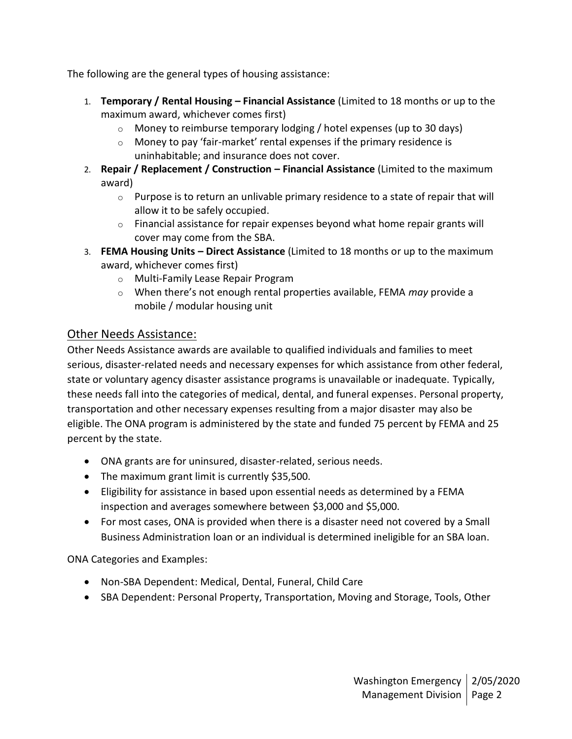The following are the general types of housing assistance:

- 1. **Temporary / Rental Housing – Financial Assistance** (Limited to 18 months or up to the maximum award, whichever comes first)
	- o Money to reimburse temporary lodging / hotel expenses (up to 30 days)
	- o Money to pay 'fair-market' rental expenses if the primary residence is uninhabitable; and insurance does not cover.
- 2. **Repair / Replacement / Construction – Financial Assistance** (Limited to the maximum award)
	- $\circ$  Purpose is to return an unlivable primary residence to a state of repair that will allow it to be safely occupied.
	- $\circ$  Financial assistance for repair expenses beyond what home repair grants will cover may come from the SBA.
- 3. **FEMA Housing Units – Direct Assistance** (Limited to 18 months or up to the maximum award, whichever comes first)
	- o Multi-Family Lease Repair Program
	- o When there's not enough rental properties available, FEMA *may* provide a mobile / modular housing unit

### Other Needs Assistance:

Other Needs Assistance awards are available to qualified individuals and families to meet serious, disaster-related needs and necessary expenses for which assistance from other federal, state or voluntary agency disaster assistance programs is unavailable or inadequate. Typically, these needs fall into the categories of medical, dental, and funeral expenses. Personal property, transportation and other necessary expenses resulting from a major disaster may also be eligible. The ONA program is administered by the state and funded 75 percent by FEMA and 25 percent by the state.

- ONA grants are for uninsured, disaster-related, serious needs.
- The maximum grant limit is currently \$35,500.
- Eligibility for assistance in based upon essential needs as determined by a FEMA inspection and averages somewhere between \$3,000 and \$5,000.
- For most cases, ONA is provided when there is a disaster need not covered by a Small Business Administration loan or an individual is determined ineligible for an SBA loan.

ONA Categories and Examples:

- Non-SBA Dependent: Medical, Dental, Funeral, Child Care
- SBA Dependent: Personal Property, Transportation, Moving and Storage, Tools, Other